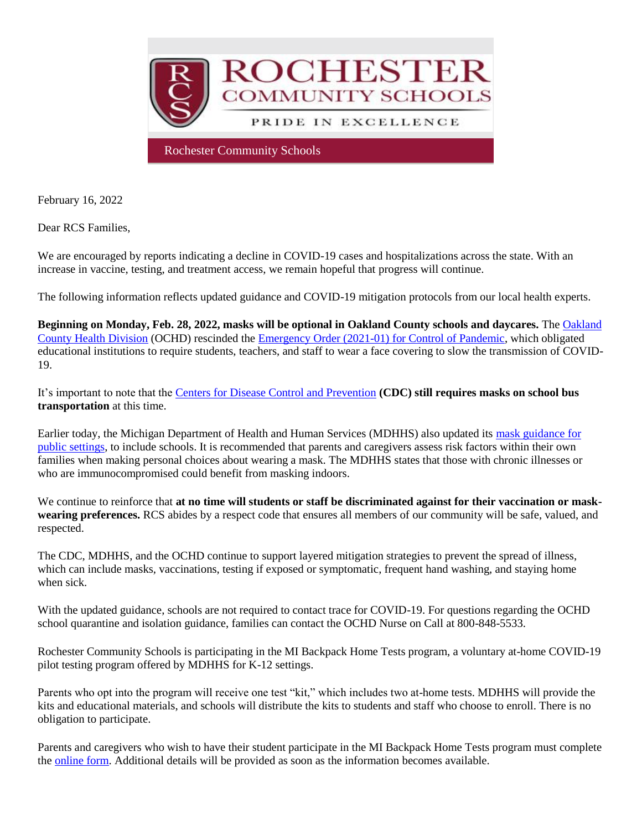

February 16, 2022

Dear RCS Families,

We are encouraged by reports indicating a decline in COVID-19 cases and hospitalizations across the state. With an increase in vaccine, testing, and treatment access, we remain hopeful that progress will continue.

The following information reflects updated guidance and COVID-19 mitigation protocols from our local health experts.

**Beginning on Monday, Feb. 28, 2022, masks will be optional in Oakland County schools and daycares.** Th[e Oakland](http://track.spe.schoolmessenger.com/f/a/9LBGXxR5h9GW2pWtpgoR9A~~/AAAAAQA~/RgRj7t6SP0RhaHR0cHM6Ly93d3cub2FrZ292LmNvbS9wYWdlcy9uZXdzLmFzcHgjL3NjaG9vbC1tYXNrLXJlcXVpcmVtZW50LWluLW9ha2xhbmQtY291bnR5LXdpbGwtZW5kLWZlYi0yOFcHc2Nob29sbUIKYgUSqw1ifRyZS1Ibc2FoZWFybkByb2NoZXN0ZXIuazEyLm1pLnVzWAQAAAAB)  [County Health Division](http://track.spe.schoolmessenger.com/f/a/9LBGXxR5h9GW2pWtpgoR9A~~/AAAAAQA~/RgRj7t6SP0RhaHR0cHM6Ly93d3cub2FrZ292LmNvbS9wYWdlcy9uZXdzLmFzcHgjL3NjaG9vbC1tYXNrLXJlcXVpcmVtZW50LWluLW9ha2xhbmQtY291bnR5LXdpbGwtZW5kLWZlYi0yOFcHc2Nob29sbUIKYgUSqw1ifRyZS1Ibc2FoZWFybkByb2NoZXN0ZXIuazEyLm1pLnVzWAQAAAAB) (OCHD) rescinded the [Emergency Order \(2021-01\) for Control of Pandemic,](http://track.spe.schoolmessenger.com/f/a/m3E83MB-bX-CGlagVmu5lA~~/AAAAAQA~/RgRj7t6SP0RiaHR0cHM6Ly93d3cub2FrZ292LmNvbS9jb3ZpZC9oZWFsdGhvcmRlcnMvSGVhbHRoJTIwT3JkZXIlMjA4LjI0LjIxJTIwZmFjZSUyMGNvdmVyaW5nJTIwMjAyMS0wMS5wZGZXB3NjaG9vbG1CCmIFEqsNYn0cmUtSG3NhaGVhcm5Acm9jaGVzdGVyLmsxMi5taS51c1gEAAAAAQ~~) which obligated educational institutions to require students, teachers, and staff to wear a face covering to slow the transmission of COVID-19.

It's important to note that the [Centers for Disease Control and Prevention](http://track.spe.schoolmessenger.com/f/a/D5nuITRCUcKIrJNypmvvAg~~/AAAAAQA~/RgRj7t6SP0Q-aHR0cHM6Ly93d3cuY2RjLmdvdi9xdWFyYW50aW5lL21hc2tzL21hc2stdHJhdmVsLWd1aWRhbmNlLmh0bWxXB3NjaG9vbG1CCmIFEqsNYn0cmUtSG3NhaGVhcm5Acm9jaGVzdGVyLmsxMi5taS51c1gEAAAAAQ~~) **(CDC) still requires masks on school bus transportation** at this time.

Earlier today, the Michigan Department of Health and Human Services (MDHHS) also updated its [mask guidance for](http://track.spe.schoolmessenger.com/f/a/uQRhrIS2b2qF_iR733J2vw~~/AAAAAQA~/RgRj7t6SP0SWaHR0cHM6Ly93d3cubWljaGlnYW4uZ292L2RvY3VtZW50cy9jb3JvbmF2aXJ1cy9GSU5BTF9NREhIU19NYXNraW5nX0d1aWRhbmNlXzIuMTYuMjJfNzQ4MzE1XzcucGRmP3V0bV9jYW1wYWlnbj0mdXRtX21lZGl1bT1lbWFpbCZ1dG1fc291cmNlPWdvdmRlbGl2ZXJ5VwdzY2hvb2xtQgpiBRKrDWJ9HJlLUhtzYWhlYXJuQHJvY2hlc3Rlci5rMTIubWkudXNYBAAAAAE~)  [public settings,](http://track.spe.schoolmessenger.com/f/a/uQRhrIS2b2qF_iR733J2vw~~/AAAAAQA~/RgRj7t6SP0SWaHR0cHM6Ly93d3cubWljaGlnYW4uZ292L2RvY3VtZW50cy9jb3JvbmF2aXJ1cy9GSU5BTF9NREhIU19NYXNraW5nX0d1aWRhbmNlXzIuMTYuMjJfNzQ4MzE1XzcucGRmP3V0bV9jYW1wYWlnbj0mdXRtX21lZGl1bT1lbWFpbCZ1dG1fc291cmNlPWdvdmRlbGl2ZXJ5VwdzY2hvb2xtQgpiBRKrDWJ9HJlLUhtzYWhlYXJuQHJvY2hlc3Rlci5rMTIubWkudXNYBAAAAAE~) to include schools. It is recommended that parents and caregivers assess risk factors within their own families when making personal choices about wearing a mask. The MDHHS states that those with chronic illnesses or who are immunocompromised could benefit from masking indoors.

We continue to reinforce that **at no time will students or staff be discriminated against for their vaccination or maskwearing preferences.** RCS abides by a respect code that ensures all members of our community will be safe, valued, and respected.

The CDC, MDHHS, and the OCHD continue to support layered mitigation strategies to prevent the spread of illness, which can include masks, vaccinations, testing if exposed or symptomatic, frequent hand washing, and staying home when sick.

With the updated guidance, schools are not required to contact trace for COVID-19. For questions regarding the OCHD school quarantine and isolation guidance, families can contact the OCHD Nurse on Call at 800-848-5533.

Rochester Community Schools is participating in the MI Backpack Home Tests program, a voluntary at-home COVID-19 pilot testing program offered by MDHHS for K-12 settings.

Parents who opt into the program will receive one test "kit," which includes two at-home tests. MDHHS will provide the kits and educational materials, and schools will distribute the kits to students and staff who choose to enroll. There is no obligation to participate.

Parents and caregivers who wish to have their student participate in the MI Backpack Home Tests program must complete the [online form.](http://track.spe.schoolmessenger.com/f/a/oNJ4HCryCXLBPHW153dYyg~~/AAAAAQA~/RgRj7t6SP0SMaHR0cHM6Ly9mb3Jtcy5vZmZpY2UuY29tL3BhZ2VzL3Jlc3BvbnNlcGFnZS5hc3B4P2lkPWgzRDcxWGMzclVLV2Fva3U5SElsMFpHSHl6M0hLcHBBdXNJQ0FUY1VWTmxVUWxWS1dGWXlWVFJCVXpOSk9WZ3pSelV6TkRGUFJrMDNUQ1FsUUNOMFBXY3VXB3NjaG9vbG1CCmIFEqsNYn0cmUtSG3NhaGVhcm5Acm9jaGVzdGVyLmsxMi5taS51c1gEAAAAAQ~~) Additional details will be provided as soon as the information becomes available.